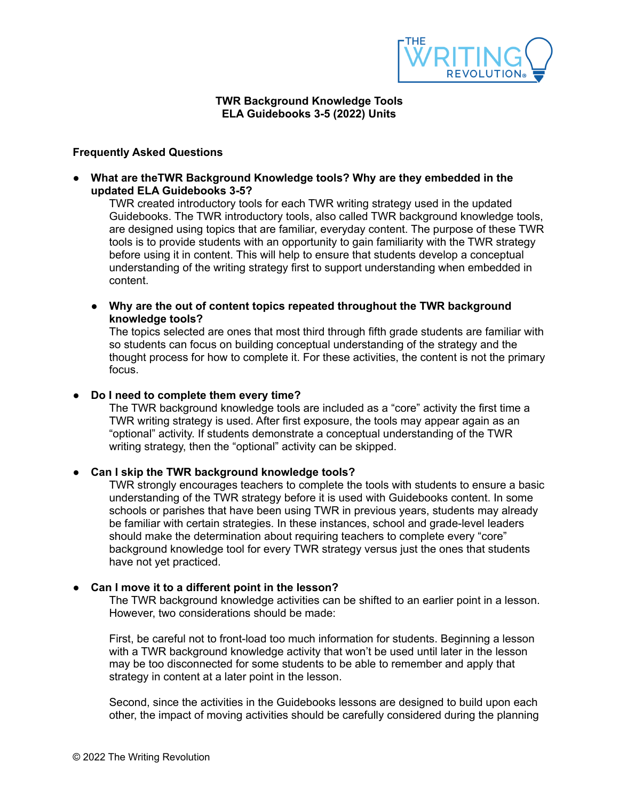

#### **TWR Background Knowledge Tools ELA Guidebooks 3-5 (2022) Units**

# **Frequently Asked Questions**

**● What are theTWR Background Knowledge tools? Why are they embedded in the updated ELA Guidebooks 3-5?**

TWR created introductory tools for each TWR writing strategy used in the updated Guidebooks. The TWR introductory tools, also called TWR background knowledge tools, are designed using topics that are familiar, everyday content. The purpose of these TWR tools is to provide students with an opportunity to gain familiarity with the TWR strategy before using it in content. This will help to ensure that students develop a conceptual understanding of the writing strategy first to support understanding when embedded in content.

**● Why are the out of content topics repeated throughout the TWR background knowledge tools?**

The topics selected are ones that most third through fifth grade students are familiar with so students can focus on building conceptual understanding of the strategy and the thought process for how to complete it. For these activities, the content is not the primary focus.

# **● Do I need to complete them every time?**

The TWR background knowledge tools are included as a "core" activity the first time a TWR writing strategy is used. After first exposure, the tools may appear again as an "optional" activity. If students demonstrate a conceptual understanding of the TWR writing strategy, then the "optional" activity can be skipped.

#### ● **Can I skip the TWR background knowledge tools?**

TWR strongly encourages teachers to complete the tools with students to ensure a basic understanding of the TWR strategy before it is used with Guidebooks content. In some schools or parishes that have been using TWR in previous years, students may already be familiar with certain strategies. In these instances, school and grade-level leaders should make the determination about requiring teachers to complete every "core" background knowledge tool for every TWR strategy versus just the ones that students have not yet practiced.

### ● **Can I move it to a different point in the lesson?**

The TWR background knowledge activities can be shifted to an earlier point in a lesson. However, two considerations should be made:

First, be careful not to front-load too much information for students. Beginning a lesson with a TWR background knowledge activity that won't be used until later in the lesson may be too disconnected for some students to be able to remember and apply that strategy in content at a later point in the lesson.

Second, since the activities in the Guidebooks lessons are designed to build upon each other, the impact of moving activities should be carefully considered during the planning